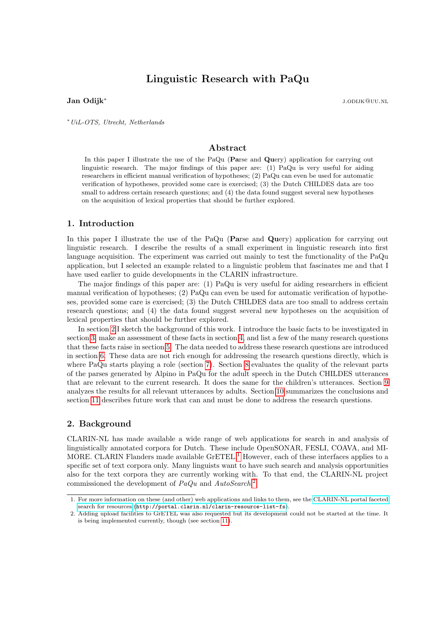# Linguistic Research with PaQu

#### Jan Odijk<sup>∗</sup>

j.odijk@uu.nl

<sup>∗</sup>UiL-OTS, Utrecht, Netherlands

### Abstract

In this paper I illustrate the use of the PaQu (Parse and Query) application for carrying out linguistic research. The major findings of this paper are: (1) PaQu is very useful for aiding researchers in efficient manual verification of hypotheses; (2) PaQu can even be used for automatic verification of hypotheses, provided some care is exercised; (3) the Dutch CHILDES data are too small to address certain research questions; and (4) the data found suggest several new hypotheses on the acquisition of lexical properties that should be further explored.

# 1. Introduction

In this paper I illustrate the use of the PaQu (Parse and Query) application for carrying out linguistic research. I describe the results of a small experiment in linguistic research into first language acquisition. The experiment was carried out mainly to test the functionality of the PaQu application, but I selected an example related to a linguistic problem that fascinates me and that I have used earlier to guide developments in the CLARIN infrastructure.

The major findings of this paper are: (1) PaQu is very useful for aiding researchers in efficient manual verification of hypotheses; (2) PaQu can even be used for automatic verification of hypotheses, provided some care is exercised; (3) the Dutch CHILDES data are too small to address certain research questions; and (4) the data found suggest several new hypotheses on the acquisition of lexical properties that should be further explored.

In section [2](#page-0-0) I sketch the background of this work. I introduce the basic facts to be investigated in section [3,](#page-1-0) make an assessment of these facts in section [4,](#page-2-0) and list a few of the many research questions that these facts raise in section [5.](#page-3-0) The data needed to address these research questions are introduced in section [6.](#page-4-0) These data are not rich enough for addressing the research questions directly, which is where PaQu starts playing a role (section [7\)](#page-4-1). Section [8](#page-6-0) evaluates the quality of the relevant parts of the parses generated by Alpino in PaQu for the adult speech in the Dutch CHILDES utterances that are relevant to the current research. It does the same for the children's utterances. Section [9](#page-8-0) analyzes the results for all relevant utterances by adults. Section [10](#page-9-0) summarizes the conclusions and section [11](#page-9-1) describes future work that can and must be done to address the research questions.

#### <span id="page-0-0"></span>2. Background

CLARIN-NL has made available a wide range of web applications for search in and analysis of linguistically annotated corpora for Dutch. These include OpenSONAR, FESLI, COAVA, and MI-MORE. CLARIN Flanders made available  $\text{GrETEL}$ <sup>[1](#page-0-1)</sup> However, each of these interfaces applies to a specific set of text corpora only. Many linguists want to have such search and analysis opportunities also for the text corpora they are currently working with. To that end, the CLARIN-NL project commissioned the development of PaQu and AutoSearch.<sup>[2](#page-0-2)</sup>

<span id="page-0-1"></span><sup>1.</sup> For more information on these (and other) web applications and links to them, see the [CLARIN-NL portal faceted](http://portal.clarin.nl/clarin-resource-list-fs) [search for resources](http://portal.clarin.nl/clarin-resource-list-fs) (<http://portal.clarin.nl/clarin-resource-list-fs>).

<span id="page-0-2"></span><sup>2.</sup> Adding upload facilities to GrETEL was also requested but its development could not be started at the time. It is being implemented currently, though (see section [11\)](#page-9-1).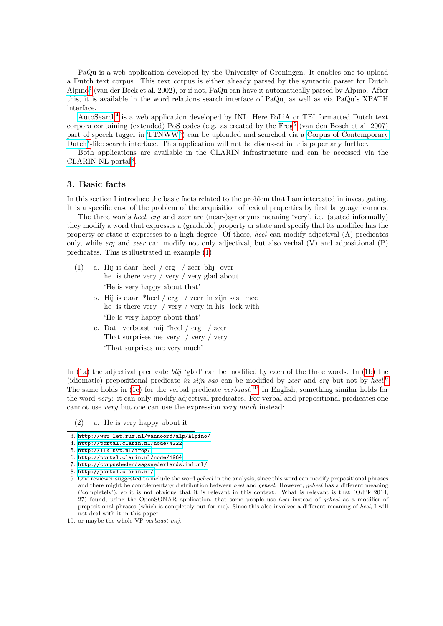PaQu is a web application developed by the University of Groningen. It enables one to upload a Dutch text corpus. This text corpus is either already parsed by the syntactic parser for Dutch [Alpino](http://www.let.rug.nl/vannoord/alp/Alpino/)[3](#page-1-1) (van der Beek et al. 2002), or if not, PaQu can have it automatically parsed by Alpino. After this, it is available in the word relations search interface of PaQu, as well as via PaQu's XPATH interface.

[AutoSearch](http://portal.clarin.nl/node/4222)<sup>[4](#page-1-2)</sup> is a web application developed by INL. Here FoLiA or TEI formatted Dutch text corpora containing (extended) PoS codes (e.g. as created by the [Frog](http://ilk.uvt.nl/frog/)<sup>[5](#page-1-3)</sup> (van den Bosch et al. 2007) part of speech tagger in [TTNWW](http://portal.clarin.nl/node/1964)<sup>[6](#page-1-4)</sup>) can be uploaded and searched via a [Corpus of Contemporary](http://corpushedendaagsnederlands.inl.nl/) [Dutch](http://corpushedendaagsnederlands.inl.nl/)<sup>[7](#page-1-5)</sup>-like search interface. This application will not be discussed in this paper any further.

Both applications are available in the CLARIN infrastructure and can be accessed via the [CLARIN-NL portal](http://portal.clarin.nl/)<sup>[8](#page-1-6)</sup>.

# <span id="page-1-0"></span>3. Basic facts

In this section I introduce the basic facts related to the problem that I am interested in investigating. It is a specific case of the problem of the acquisition of lexical properties by first language learners.

The three words heel, erg and zeer are (near-)synonyms meaning 'very', i.e. (stated informally) they modify a word that expresses a (gradable) property or state and specify that its modifiee has the property or state it expresses to a high degree. Of these, heel can modify adjectival (A) predicates only, while *erg* and *zeer* can modify not only adjectival, but also verbal  $(V)$  and adpositional  $(P)$ predicates. This is illustrated in example [\(1\)](#page-1-7)

- <span id="page-1-8"></span><span id="page-1-7"></span>(1) a. Hij is daar heel / erg / zeer blij over he is there very / very / very glad about 'He is very happy about that'
	- b. Hij is daar \*heel / erg / zeer in zijn sas mee he is there very / very / very in his lock with 'He is very happy about that'
	- c. Dat verbaast mij \*heel / erg / zeer That surprises me very / very / very 'That surprises me very much'

<span id="page-1-10"></span>In [\(1a\)](#page-1-7) the adjectival predicate *blij* 'glad' can be modified by each of the three words. In [\(1b\)](#page-1-8) the (idiomatic) prepositional predicate in zijn sas can be modified by zeer and erg but not by heel.<sup>[9](#page-1-9)</sup> The same holds in [\(1c\)](#page-1-10) for the verbal predicate verbaast.<sup>[10](#page-1-11)</sup> In English, something similar holds for the word very: it can only modify adjectival predicates. For verbal and prepositional predicates one cannot use very but one can use the expression very much instead:

(2) a. He is very happy about it

<span id="page-1-2"></span>4. <http://portal.clarin.nl/node/4222>

<span id="page-1-1"></span><sup>3.</sup> <http://www.let.rug.nl/vannoord/alp/Alpino/>

<span id="page-1-3"></span><sup>5.</sup> <http://ilk.uvt.nl/frog/>

<span id="page-1-4"></span><sup>6.</sup> <http://portal.clarin.nl/node/1964>

<span id="page-1-5"></span><sup>7.</sup> <http://corpushedendaagsnederlands.inl.nl/>

<span id="page-1-6"></span><sup>8.</sup> <http://portal.clarin.nl/>

<span id="page-1-9"></span><sup>9.</sup> One reviewer suggested to include the word geheel in the analysis, since this word can modify prepositional phrases and there might be complementary distribution between heel and geheel. However, geheel has a different meaning ('completely'), so it is not obvious that it is relevant in this context. What is relevant is that (Odijk 2014, 27) found, using the OpenSONAR application, that some people use heel instead of geheel as a modifier of prepositional phrases (which is completely out for me). Since this also involves a different meaning of heel, I will not deal with it in this paper.

<span id="page-1-11"></span><sup>10.</sup> or maybe the whole VP verbaast mij.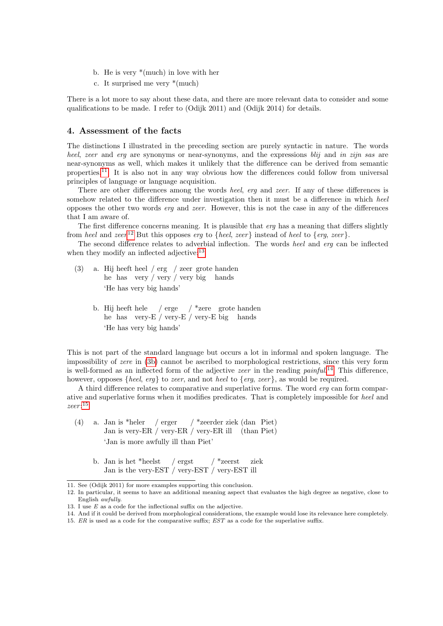- b. He is very \*(much) in love with her
- c. It surprised me very \*(much)

There is a lot more to say about these data, and there are more relevant data to consider and some qualifications to be made. I refer to (Odijk 2011) and (Odijk 2014) for details.

#### <span id="page-2-0"></span>4. Assessment of the facts

The distinctions I illustrated in the preceding section are purely syntactic in nature. The words heel, zeer and erg are synonyms or near-synonyms, and the expressions blij and in zijn sas are near-synonyms as well, which makes it unlikely that the difference can be derived from semantic properties.<sup>[11](#page-2-1)</sup> It is also not in any way obvious how the differences could follow from universal principles of language or language acquisition.

There are other differences among the words heel, erg and zeer. If any of these differences is somehow related to the difference under investigation then it must be a difference in which heel opposes the other two words erg and zeer. However, this is not the case in any of the differences that I am aware of.

The first difference concerns meaning. It is plausible that *erg* has a meaning that differs slightly from heel and zeer<sup>[12](#page-2-2)</sup> But this opposes erg to {heel, zeer} instead of heel to {erg, zeer}.

The second difference relates to adverbial inflection. The words heel and erg can be inflected when they modify an inflected adjective:<sup>[13](#page-2-3)</sup>

- <span id="page-2-4"></span>(3) a. Hij heeft heel / erg / zeer grote handen he has very / very / very big hands 'He has very big hands'
	- b. Hij heeft hele / erge / \*zere grote handen he has very-E / very-E / very-E big hands 'He has very big hands'

This is not part of the standard language but occurs a lot in informal and spoken language. The impossibility of zere in [\(3b\)](#page-2-4) cannot be ascribed to morphological restrictions, since this very form is well-formed as an inflected form of the adjective *zeer* in the reading  $\text{paint}^{14}$  $\text{paint}^{14}$  $\text{paint}^{14}$  This difference, however, opposes  $\{heel, \text{erg}\}\)$  to *zeer*, and not *heel* to  $\{erg, zeer\}$ , as would be required.

A third difference relates to comparative and superlative forms. The word erg can form comparative and superlative forms when it modifies predicates. That is completely impossible for heel and  $zeer:$ <sup>[15](#page-2-6)</sup>

- (4) a. Jan is \*heler Jan is very-ER / very-ER / very-ER ill (than Piet) / erger / \*zeerder ziek (dan Piet) 'Jan is more awfully ill than Piet'
	- b. Jan is het \*heelst Jan is the very-EST / very-EST / very-EST ill / ergst / \*zeerst ziek

<span id="page-2-1"></span><sup>11.</sup> See (Odijk 2011) for more examples supporting this conclusion.

<span id="page-2-2"></span><sup>12.</sup> In particular, it seems to have an additional meaning aspect that evaluates the high degree as negative, close to English awfully.

<span id="page-2-3"></span><sup>13.</sup> I use E as a code for the inflectional suffix on the adjective.

<span id="page-2-5"></span><sup>14.</sup> And if it could be derived from morphological considerations, the example would lose its relevance here completely.

<span id="page-2-6"></span><sup>15.</sup> ER is used as a code for the comparative suffix; EST as a code for the superlative suffix.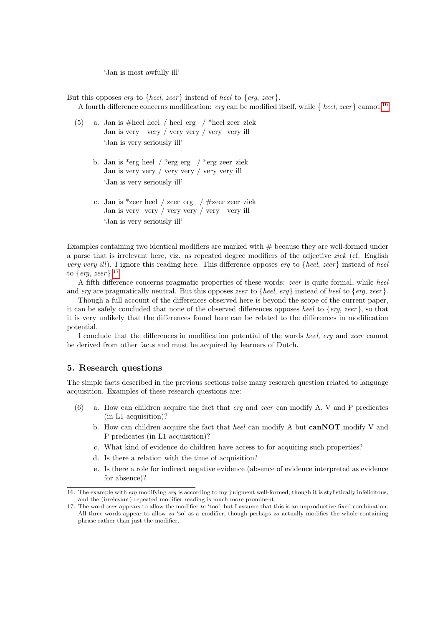'Jan is most awfully ill'

But this opposes erg to  ${heel, zeer}$  instead of heel to  ${erg, zeer}$ . A fourth difference concerns modification: erg can be modified itself, while  $\{$  heel, zeer  $\}$  cannot:<sup>[16](#page-3-1)</sup>

- (5) a. Jan is #heel heel / heel erg / \*heel zeer ziek Jan is very very / very very / very very ill 'Jan is very seriously ill'
	- b. Jan is \*erg heel / ?erg erg / \*erg zeer ziek Jan is very very / very very / very very ill 'Jan is very seriously ill'
	- c. Jan is \*zeer heel / zeer erg / #zeer zeer ziek Jan is very very / very very / very very ill 'Jan is very seriously ill'

Examples containing two identical modifiers are marked with  $#$  because they are well-formed under a parse that is irrelevant here, viz. as repeated degree modifiers of the adjective ziek (cf. English very very ill). I ignore this reading here. This difference opposes erg to {heel, zeer} instead of heel to  $\{erg, zeer\}$ .<sup>[17](#page-3-2)</sup>

A fifth difference concerns pragmatic properties of these words: zeer is quite formal, while heel and erg are pragmatically neutral. But this opposes *zeer* to {heel, erg} instead of heel to {erg, zeer}.

Though a full account of the differences observed here is beyond the scope of the current paper, it can be safely concluded that none of the observed differences opposes heel to  $\{erg, zeer\}$ , so that it is very unlikely that the differences found here can be related to the differences in modification potential.

I conclude that the differences in modification potential of the words heel, erg and zeer cannot be derived from other facts and must be acquired by learners of Dutch.

#### <span id="page-3-0"></span>5. Research questions

The simple facts described in the previous sections raise many research question related to language acquisition. Examples of these research questions are:

- <span id="page-3-4"></span><span id="page-3-3"></span>(6) a. How can children acquire the fact that erg and zeer can modify A, V and P predicates (in L1 acquisition)?
	- b. How can children acquire the fact that heel can modify A but  $\mathbf{canNOT}$  modify V and P predicates (in L1 acquisition)?
	- c. What kind of evidence do children have access to for acquiring such properties?
	- d. Is there a relation with the time of acquisition?
	- e. Is there a role for indirect negative evidence (absence of evidence interpreted as evidence for absence)?

<span id="page-3-1"></span><sup>16.</sup> The example with erg modifying erg is according to my judgment well-formed, though it is stylistically infelicitous, and the (irrelevant) repeated modifier reading is much more prominent.

<span id="page-3-2"></span><sup>17.</sup> The word zeer appears to allow the modifier te 'too', but I assume that this is an unproductive fixed combination. All three words appear to allow  $zo$  'so' as a modifier, though perhaps  $zo$  actually modifies the whole containing phrase rather than just the modifier.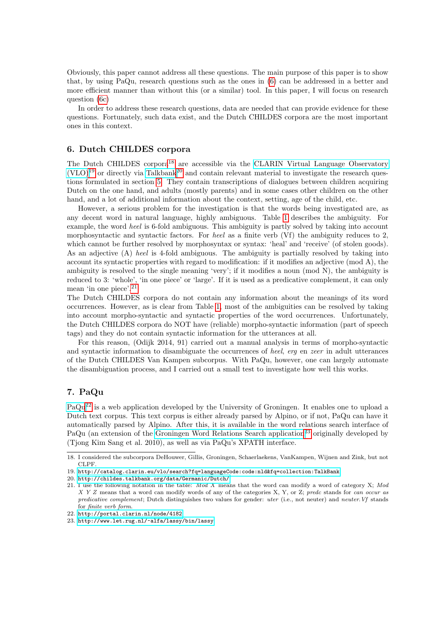Obviously, this paper cannot address all these questions. The main purpose of this paper is to show that, by using PaQu, research questions such as the ones in [\(6\)](#page-3-3) can be addressed in a better and more efficient manner than without this (or a similar) tool. In this paper, I will focus on research question [\(6c\)](#page-3-4)

In order to address these research questions, data are needed that can provide evidence for these questions. Fortunately, such data exist, and the Dutch CHILDES corpora are the most important ones in this context.

### <span id="page-4-0"></span>6. Dutch CHILDES corpora

The Dutch CHILDES corpora<sup>[18](#page-4-2)</sup> are accessible via the [CLARIN Virtual Language Observatory](http://catalog.clarin.eu/vlo/search?fq=languageCode:code:nld&fq=collection:TalkBank)  $(VLO)^{19}$  $(VLO)^{19}$  $(VLO)^{19}$  $(VLO)^{19}$  or directly via [Talkbank](http://childes.talkbank.org/data/Germanic/Dutch/)<sup>[20](#page-4-4)</sup> and contain relevant material to investigate the research questions formulated in section [5.](#page-3-0) They contain transcriptions of dialogues between children acquiring Dutch on the one hand, and adults (mostly parents) and in some cases other children on the other hand, and a lot of additional information about the context, setting, age of the child, etc.

However, a serious problem for the investigation is that the words being investigated are, as any decent word in natural language, highly ambiguous. Table [1](#page-5-0) describes the ambiguity. For example, the word heel is 6-fold ambiguous. This ambiguity is partly solved by taking into account morphosyntactic and syntactic factors. For heel as a finite verb (Vf) the ambiguity reduces to 2, which cannot be further resolved by morphosyntax or syntax: 'heal' and 'receive' (of stolen goods). As an adjective (A) heel is 4-fold ambiguous. The ambiguity is partially resolved by taking into account its syntactic properties with regard to modification: if it modifies an adjective (mod A), the ambiguity is resolved to the single meaning 'very'; if it modifies a noun (mod N), the ambiguity is reduced to 3: 'whole', 'in one piece' or 'large'. If it is used as a predicative complement, it can only mean 'in one piece'.[21](#page-4-5)

The Dutch CHILDES corpora do not contain any information about the meanings of its word occurrences. However, as is clear from Table [1,](#page-5-0) most of the ambiguities can be resolved by taking into account morpho-syntactic and syntactic properties of the word occurrences. Unfortunately, the Dutch CHILDES corpora do NOT have (reliable) morpho-syntactic information (part of speech tags) and they do not contain syntactic information for the utterances at all.

For this reason, (Odijk 2014, 91) carried out a manual analysis in terms of morpho-syntactic and syntactic information to disambiguate the occurrences of heel, erg en zeer in adult utterances of the Dutch CHILDES Van Kampen subcorpus. With PaQu, however, one can largely automate the disambiguation process, and I carried out a small test to investigate how well this works.

# <span id="page-4-1"></span>7. PaQu

[PaQu](http://portal.clarin.nl/node/4182)[22](#page-4-6) is a web application developed by the University of Groningen. It enables one to upload a Dutch text corpus. This text corpus is either already parsed by Alpino, or if not, PaQu can have it automatically parsed by Alpino. After this, it is available in the word relations search interface of PaQu (an extension of the [Groningen Word Relations Search application](http://www.let.rug.nl/~alfa/lassy/bin/lassy)<sup>[23](#page-4-7)</sup> originally developed by (Tjong Kim Sang et al. 2010), as well as via PaQu's XPATH interface.

<span id="page-4-2"></span><sup>18.</sup> I considered the subcorpora DeHouwer, Gillis, Groningen, Schaerlaekens, VanKampen, Wijnen and Zink, but not CLPF.

<span id="page-4-3"></span><sup>19.</sup> <http://catalog.clarin.eu/vlo/search?fq=languageCode:code:nld&fq=collection:TalkBank>

<span id="page-4-4"></span><sup>20.</sup> <http://childes.talkbank.org/data/Germanic/Dutch/>

<span id="page-4-5"></span><sup>21.</sup> I use the following notation in the table: Mod X means that the word can modify a word of category X; Mod  $X$  Y Z means that a word can modify words of any of the categories X, Y, or Z; predc stands for can occur as predicative complement; Dutch distinguishes two values for gender: uter (i.e., not neuter) and neuter.Vf stands for finite verb form.

<span id="page-4-6"></span><sup>22.</sup> <http://portal.clarin.nl/node/4182>

<span id="page-4-7"></span><sup>23.</sup> <http://www.let.rug.nl/~alfa/lassy/bin/lassy>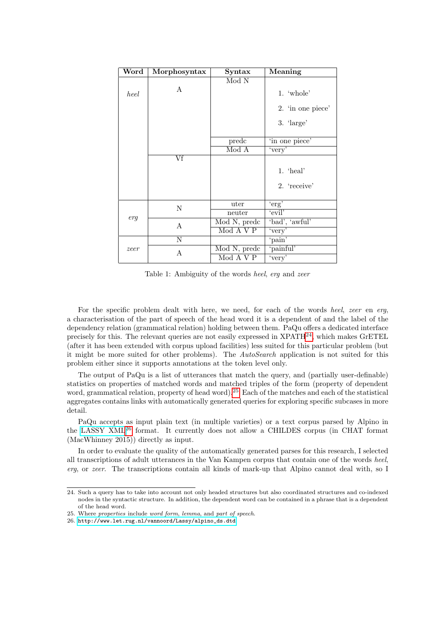| Word | Morphosyntax | Syntax                           | Meaning                             |
|------|--------------|----------------------------------|-------------------------------------|
|      |              | Mod N                            |                                     |
| heel | $\mathsf{A}$ |                                  | 1. $'$ whole'                       |
|      |              |                                  | 2. 'in one piece'                   |
|      |              |                                  | $3. \ \langle \text{large} \rangle$ |
|      |              | predc                            | 'in one piece'                      |
|      |              | Mod A                            | 'very'                              |
|      | Vf           |                                  |                                     |
|      |              |                                  | $1.$ 'heal'                         |
|      |              |                                  | 2. 'receive'                        |
|      |              | uter                             | 'erg'                               |
| erg  | N            | neuter                           | 'evil'                              |
|      | A            | Mod N, predc                     | 'bad', 'awful'                      |
|      |              | Mod A V P                        | 'very'                              |
|      | Ν            |                                  | 'pain'                              |
| zeer | Α            | $\overline{\text{Mod}}$ N, predc | 'painful'                           |
|      |              | Mod A V P                        | 'very'                              |

<span id="page-5-0"></span>Table 1: Ambiguity of the words heel, erg and zeer

For the specific problem dealt with here, we need, for each of the words heel, zeer en erg, a characterisation of the part of speech of the head word it is a dependent of and the label of the dependency relation (grammatical relation) holding between them. PaQu offers a dedicated interface precisely for this. The relevant queries are not easily expressed in  $XPATH^{24}$  $XPATH^{24}$  $XPATH^{24}$ , which makes GrETEL (after it has been extended with corpus upload facilities) less suited for this particular problem (but it might be more suited for other problems). The  $AutoSearch$  application is not suited for this problem either since it supports annotations at the token level only.

The output of PaQu is a list of utterances that match the query, and (partially user-definable) statistics on properties of matched words and matched triples of the form (property of dependent word, grammatical relation, property of head word).[25](#page-5-2) Each of the matches and each of the statistical aggregates contains links with automatically generated queries for exploring specific subcases in more detail.

PaQu accepts as input plain text (in multiple varieties) or a text corpus parsed by Alpino in the [LASSY XML](http://www.let.rug.nl/vannoord/Lassy/alpino_ds.dtd)[26](#page-5-3) format. It currently does not allow a CHILDES corpus (in CHAT format (MacWhinney 2015)) directly as input.

In order to evaluate the quality of the automatically generated parses for this research, I selected all transcriptions of adult utterances in the Van Kampen corpus that contain one of the words heel, erg, or zeer. The transcriptions contain all kinds of mark-up that Alpino cannot deal with, so I

<span id="page-5-1"></span><sup>24.</sup> Such a query has to take into account not only headed structures but also coordinated structures and co-indexed nodes in the syntactic structure. In addition, the dependent word can be contained in a phrase that is a dependent of the head word.

<span id="page-5-2"></span><sup>25.</sup> Where properties include word form, lemma, and part of speech.

<span id="page-5-3"></span><sup>26.</sup> [http://www.let.rug.nl/vannoord/Lassy/alpino\\_ds.dtd](http://www.let.rug.nl/vannoord/Lassy/alpino_ds.dtd)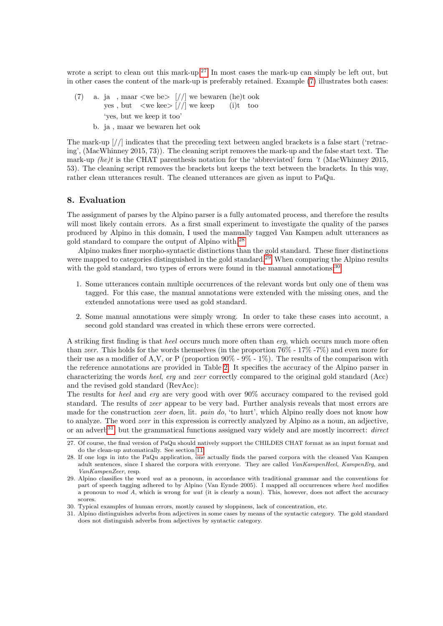wrote a script to clean out this mark-up.<sup>[27](#page-6-1)</sup> In most cases the mark-up can simply be left out, but in other cases the content of the mark-up is preferably retained. Example [\(7\)](#page-6-2) illustrates both cases:

- <span id="page-6-2"></span>(7) a. ja yes , , maar but <we <we be> kee>  $[$ //]  $[$ //] we we bewaren keep (he)t  $(i)t$ ook too 'yes, but we keep it too'
	- b. ja , maar we bewaren het ook

The mark-up [//] indicates that the preceding text between angled brackets is a false start ('retracing', (MacWhinney 2015, 73)). The cleaning script removes the mark-up and the false start text. The mark-up *(he)t* is the CHAT parenthesis notation for the 'abbreviated' form  $'t$  (MacWhinney 2015, 53). The cleaning script removes the brackets but keeps the text between the brackets. In this way, rather clean utterances result. The cleaned utterances are given as input to PaQu.

#### <span id="page-6-0"></span>8. Evaluation

The assignment of parses by the Alpino parser is a fully automated process, and therefore the results will most likely contain errors. As a first small experiment to investigate the quality of the parses produced by Alpino in this domain, I used the manually tagged Van Kampen adult utterances as gold standard to compare the output of Alpino with.[28](#page-6-3)

Alpino makes finer morpho-syntactic distinctions than the gold standard. These finer distinctions were mapped to categories distinguished in the gold standard.<sup>[29](#page-6-4)</sup> When comparing the Alpino results with the gold standard, two types of errors were found in the manual annotations:<sup>[30](#page-6-5)</sup>

- 1. Some utterances contain multiple occurrences of the relevant words but only one of them was tagged. For this case, the manual annotations were extended with the missing ones, and the extended annotations were used as gold standard.
- 2. Some manual annotations were simply wrong. In order to take these cases into account, a second gold standard was created in which these errors were corrected.

A striking first finding is that heel occurs much more often than erg, which occurs much more often than zeer. This holds for the words themselves (in the proportion 76% - 17% -7%) and even more for their use as a modifier of A,V, or P (proportion  $90\%$  -  $9\%$  -  $1\%$ ). The results of the comparison with the reference annotations are provided in Table [2.](#page-7-0) It specifies the accuracy of the Alpino parser in characterizing the words heel, erg and zeer correctly compared to the original gold standard (Acc) and the revised gold standard (RevAcc):

The results for heel and erg are very good with over 90% accuracy compared to the revised gold standard. The results of zeer appear to be very bad. Further analysis reveals that most errors are made for the construction *zeer doen*, lit. pain do, 'to hurt', which Alpino really does not know how to analyze. The word zeer in this expression is correctly analyzed by Alpino as a noun, an adjective, or an adverb<sup>[31](#page-6-6)</sup>, but the grammatical functions assigned vary widely and are mostly incorrect: direct

<span id="page-6-1"></span><sup>27.</sup> Of course, the final version of PaQu should natively support the CHILDES CHAT format as an input format and do the clean-up automatically. See section [11.](#page-9-1)

<span id="page-6-3"></span><sup>28.</sup> If one logs in into the PaQu application, one actually finds the parsed corpora with the cleaned Van Kampen adult sentences, since I shared the corpora with everyone. They are called VanKampenHeel, KampenErg, and VanKampenZeer, resp.

<span id="page-6-4"></span><sup>29.</sup> Alpino classifies the word wat as a pronoun, in accordance with traditional grammar and the conventions for part of speech tagging adhered to by Alpino (Van Eynde 2005). I mapped all occurrences where heel modifies a pronoun to mod A, which is wrong for wat (it is clearly a noun). This, however, does not affect the accuracy scores.

<span id="page-6-5"></span><sup>30.</sup> Typical examples of human errors, mostly caused by sloppiness, lack of concentration, etc.

<span id="page-6-6"></span><sup>31.</sup> Alpino distinguishes adverbs from adjectives in some cases by means of the syntactic category. The gold standard does not distinguish adverbs from adjectives by syntactic category.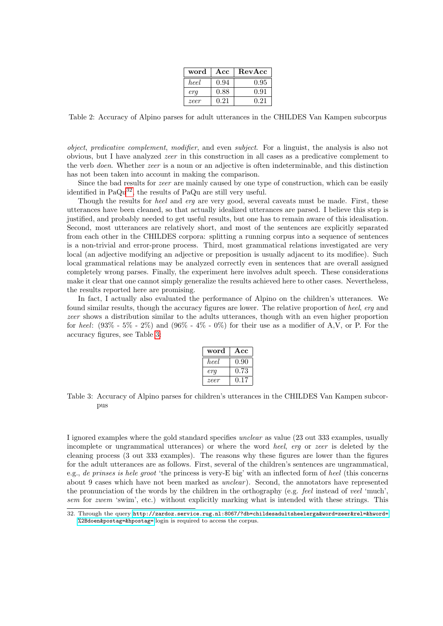| word | Acc  | RevAcc |
|------|------|--------|
| heel | 0.94 | 0.95   |
| era  | 0.88 | 0.91   |
| zeer | 0.21 | 0.21   |

<span id="page-7-0"></span>Table 2: Accuracy of Alpino parses for adult utterances in the CHILDES Van Kampen subcorpus

object, predicative complement, modifier, and even subject. For a linguist, the analysis is also not obvious, but I have analyzed zeer in this construction in all cases as a predicative complement to the verb doen. Whether zeer is a noun or an adjective is often indeterminable, and this distinction has not been taken into account in making the comparison.

Since the bad results for zeer are mainly caused by one type of construction, which can be easily identified in  $PaQu^{32}$  $PaQu^{32}$  $PaQu^{32}$ , the results of PaQu are still very useful.

Though the results for *heel* and *erg* are very good, several caveats must be made. First, these utterances have been cleaned, so that actually idealized utterances are parsed. I believe this step is justified, and probably needed to get useful results, but one has to remain aware of this idealisation. Second, most utterances are relatively short, and most of the sentences are explicitly separated from each other in the CHILDES corpora: splitting a running corpus into a sequence of sentences is a non-trivial and error-prone process. Third, most grammatical relations investigated are very local (an adjective modifying an adjective or preposition is usually adjacent to its modifiee). Such local grammatical relations may be analyzed correctly even in sentences that are overall assigned completely wrong parses. Finally, the experiment here involves adult speech. These considerations make it clear that one cannot simply generalize the results achieved here to other cases. Nevertheless, the results reported here are promising.

In fact, I actually also evaluated the performance of Alpino on the children's utterances. We found similar results, though the accuracy figures are lower. The relative proportion of heel, erg and zeer shows a distribution similar to the adults utterances, though with an even higher proportion for heel:  $(93\% - 5\% - 2\%)$  and  $(96\% - 4\% - 0\%)$  for their use as a modifier of A,V, or P. For the accuracy figures, see Table [3:](#page-7-2)

| word | Acc  |
|------|------|
| heel | 0.90 |
| era  | 0.73 |
| zeer | 0.17 |

<span id="page-7-2"></span>Table 3: Accuracy of Alpino parses for children's utterances in the CHILDES Van Kampen subcorpus

I ignored examples where the gold standard specifies unclear as value (23 out 333 examples, usually incomplete or ungrammatical utterances) or where the word heel, erg or zeer is deleted by the cleaning process (3 out 333 examples). The reasons why these figures are lower than the figures for the adult utterances are as follows. First, several of the children's sentences are ungrammatical, e.g., de prinses is hele groot 'the princess is very-E big' with an inflected form of heel (this concerns about 9 cases which have not been marked as *unclear*). Second, the annotators have represented the pronunciation of the words by the children in the orthography (e.g. feel instead of veel 'much', sem for zwem 'swim', etc.) without explicitly marking what is intended with these strings. This

<span id="page-7-1"></span><sup>32.</sup> Through the query [http://zardoz.service.rug.nl:8067/?db=childesadultsheelerga&word=zeer&rel=&hword=](http://zardoz.service.rug.nl:8067/?db=childesadultsheelerga&word=zeer&rel=&hword=%2Bdoen&postag=&hpostag=) [%2Bdoen&postag=&hpostag=](http://zardoz.service.rug.nl:8067/?db=childesadultsheelerga&word=zeer&rel=&hword=%2Bdoen&postag=&hpostag=);login is required to access the corpus.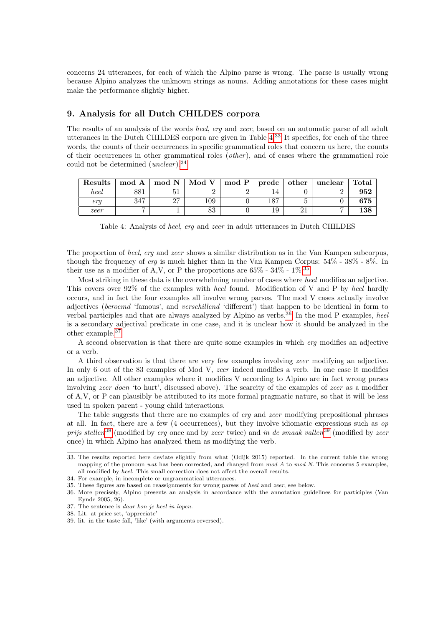concerns 24 utterances, for each of which the Alpino parse is wrong. The parse is usually wrong because Alpino analyzes the unknown strings as nouns. Adding annotations for these cases might make the performance slightly higher.

## <span id="page-8-0"></span>9. Analysis for all Dutch CHILDES corpora

The results of an analysis of the words heel, erg and zeer, based on an automatic parse of all adult utterances in the Dutch CHILDES corpora are given in Table [4.](#page-8-1)[33](#page-8-2) It specifies, for each of the three words, the counts of their occurrences in specific grammatical roles that concern us here, the counts of their occurrences in other grammatical roles (*other*), and of cases where the grammatical role could not be determined  $(unclear)$ .<sup>[34](#page-8-3)</sup>

| Results | mod A      | mod N         | Mod V    | mod P | predc | other | unclear | Total |
|---------|------------|---------------|----------|-------|-------|-------|---------|-------|
| heel    | 001<br>201 | υı            |          |       |       |       |         | 952   |
| era     | 917        | $\Omega$<br>" | 109      |       | ⊢⊙ !  |       |         |       |
| zeer    |            |               | റച<br>റപ |       | エジ    | ◢     | -       | 138   |

<span id="page-8-1"></span>Table 4: Analysis of heel, erg and zeer in adult utterances in Dutch CHILDES

The proportion of heel, erg and zeer shows a similar distribution as in the Van Kampen subcorpus, though the frequency of erg is much higher than in the Van Kampen Corpus: 54% - 38% - 8%. In their use as a modifier of A,V, or P the proportions are  $65\%$  -  $34\%$  -  $1\%$ .<sup>[35](#page-8-4)</sup>

Most striking in these data is the overwhelming number of cases where heel modifies an adjective. This covers over 92% of the examples with heel found. Modification of V and P by heel hardly occurs, and in fact the four examples all involve wrong parses. The mod V cases actually involve adjectives (beroemd 'famous', and verschillend 'different') that happen to be identical in form to verbal participles and that are always analyzed by Alpino as verbs.[36](#page-8-5) In the mod P examples, heel is a secondary adjectival predicate in one case, and it is unclear how it should be analyzed in the other example.[37](#page-8-6)

A second observation is that there are quite some examples in which erg modifies an adjective or a verb.

A third observation is that there are very few examples involving zeer modifying an adjective. In only 6 out of the 83 examples of Mod V, zeer indeed modifies a verb. In one case it modifies an adjective. All other examples where it modifies V according to Alpino are in fact wrong parses involving zeer doen 'to hurt', discussed above). The scarcity of the examples of zeer as a modifier of A,V, or P can plausibly be attributed to its more formal pragmatic nature, so that it will be less used in spoken parent - young child interactions.

The table suggests that there are no examples of *erg* and *zeer* modifying prepositional phrases at all. In fact, there are a few (4 occurrences), but they involve idiomatic expressions such as op prijs stellen<sup>[38](#page-8-7)</sup> (modified by erg once and by zeer twice) and in de smaak vallen<sup>[39](#page-8-8)</sup> (modified by zeer once) in which Alpino has analyzed them as modifying the verb.

<span id="page-8-2"></span><sup>33.</sup> The results reported here deviate slightly from what (Odijk 2015) reported. In the current table the wrong mapping of the pronoun wat has been corrected, and changed from  $mod A$  to  $mod N$ . This concerns 5 examples, all modified by heel. This small correction does not affect the overall results.

<span id="page-8-4"></span><span id="page-8-3"></span><sup>34.</sup> For example, in incomplete or ungrammatical utterances.

<sup>35.</sup> These figures are based on reassignments for wrong parses of heel and zeer, see below.

<span id="page-8-5"></span><sup>36.</sup> More precisely, Alpino presents an analysis in accordance with the annotation guidelines for participles (Van Eynde 2005, 26).

<span id="page-8-6"></span><sup>37.</sup> The sentence is daar kon je heel in lopen.

<span id="page-8-7"></span><sup>38.</sup> Lit. at price set, 'appreciate'

<span id="page-8-8"></span><sup>39.</sup> lit. in the taste fall, 'like' (with arguments reversed).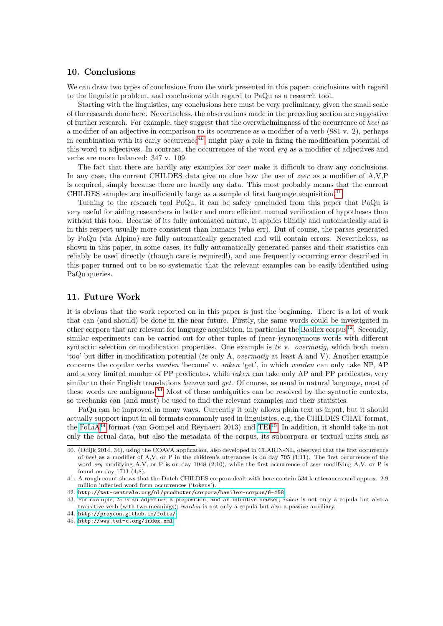## <span id="page-9-0"></span>10. Conclusions

We can draw two types of conclusions from the work presented in this paper: conclusions with regard to the linguistic problem, and conclusions with regard to PaQu as a research tool.

Starting with the linguistics, any conclusions here must be very preliminary, given the small scale of the research done here. Nevertheless, the observations made in the preceding section are suggestive of further research. For example, they suggest that the overwhelmingness of the occurrence of heel as a modifier of an adjective in comparison to its occurrence as a modifier of a verb (881 v. 2), perhaps in combination with its early occurrence<sup>[40](#page-9-2)</sup>, might play a role in fixing the modification potential of this word to adjectives. In contrast, the occurrences of the word erg as a modifier of adjectives and verbs are more balanced: 347 v. 109.

The fact that there are hardly any examples for *zeer* make it difficult to draw any conclusions. In any case, the current CHILDES data give no clue how the use of *zeer* as a modifier of A,V,P is acquired, simply because there are hardly any data. This most probably means that the current CHILDES samples are insufficiently large as a sample of first language acquisition.[41](#page-9-3)

Turning to the research tool PaQu, it can be safely concluded from this paper that PaQu is very useful for aiding researchers in better and more efficient manual verification of hypotheses than without this tool. Because of its fully automated nature, it applies blindly and automatically and is in this respect usually more consistent than humans (who err). But of course, the parses generated by PaQu (via Alpino) are fully automatically generated and will contain errors. Nevertheless, as shown in this paper, in some cases, its fully automatically generated parses and their statistics can reliably be used directly (though care is required!), and one frequently occurring error described in this paper turned out to be so systematic that the relevant examples can be easily identified using PaQu queries.

## <span id="page-9-1"></span>11. Future Work

It is obvious that the work reported on in this paper is just the beginning. There is a lot of work that can (and should) be done in the near future. Firstly, the same words could be investigated in other corpora that are relevant for language acquisition, in particular the [Basilex corpus](http://tst-centrale.org/nl/producten/corpora/basilex-corpus/6-158)<sup>[42](#page-9-4)</sup>. Secondly, similar experiments can be carried out for other tuples of (near-)synonymous words with different syntactic selection or modification properties. One example is te v. overmatiq, which both mean 'too' but differ in modification potential (te only A, overmatig at least A and V). Another example concerns the copular verbs worden 'become' v. raken 'get', in which worden can only take NP, AP and a very limited number of PP predicates, while *raken* can take only AP and PP predicates, very similar to their English translations *become* and *get*. Of course, as usual in natural language, most of these words are ambiguous.[43](#page-9-5) Most of these ambiguities can be resolved by the syntactic contexts, so treebanks can (and must) be used to find the relevant examples and their statistics.

PaQu can be improved in many ways. Currently it only allows plain text as input, but it should actually support input in all formats commonly used in linguistics, e.g, the CHILDES CHAT format, the [FoLiA](http://proycon.github.io/folia/)<sup>[44](#page-9-6)</sup> format (van Gompel and Reynaert 2013) and [TEI](http://www.tei-c.org/index.xml)<sup>[45](#page-9-7)</sup>. In addition, it should take in not only the actual data, but also the metadata of the corpus, its subcorpora or textual units such as

<span id="page-9-2"></span><sup>40. (</sup>Odijk 2014, 34), using the COAVA application, also developed in CLARIN-NL, observed that the first occurrence of heel as a modifier of A,V, or P in the children's utterances is on day 705 (1;11). The first occurrence of the word erg modifying A,V, or P is on day 1048 (2;10), while the first occurrence of zeer modifying A,V, or P is found on day 1711 (4;8).

<span id="page-9-3"></span><sup>41.</sup> A rough count shows that the Dutch CHILDES corpora dealt with here contain 534 k utterances and approx. 2.9 million inflected word form occurrences ('tokens').

<span id="page-9-4"></span><sup>42.</sup> <http://tst-centrale.org/nl/producten/corpora/basilex-corpus/6-158>

<span id="page-9-5"></span><sup>43.</sup> For example, te is an adjective, a preposition, and an infinitive marker; raken is not only a copula but also a transitive verb (with two meanings); worden is not only a copula but also a passive auxiliary.

<span id="page-9-6"></span><sup>44.</sup> <http://proycon.github.io/folia/>

<span id="page-9-7"></span><sup>45.</sup> <http://www.tei-c.org/index.xml>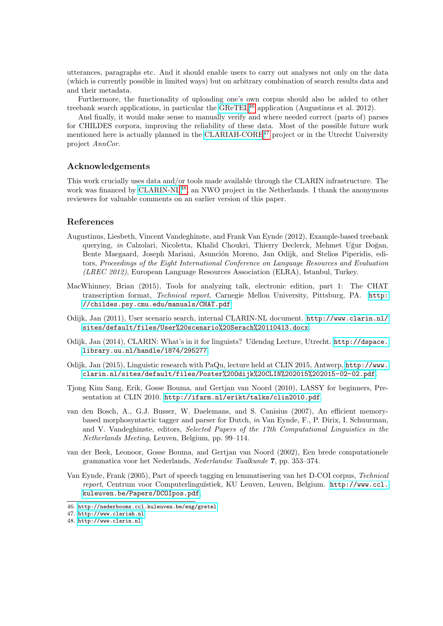utterances, paragraphs etc. And it should enable users to carry out analyses not only on the data (which is currently possible in limited ways) but on arbitrary combination of search results data and and their metadata.

Furthermore, the functionality of uploading one's own corpus should also be added to other treebank search applications, in particular the [GReTEL](http://nederbooms.ccl.kuleuven.be/eng/gretel)<sup>[46](#page-10-0)</sup> application (Augustinus et al. 2012).

And finally, it would make sense to manually verify and where needed correct (parts of) parses for CHILDES corpora, improving the reliability of these data. Most of the possible future work mentioned here is actually planned in the [CLARIAH-CORE](http://www.clariah.nl)<sup>[47](#page-10-1)</sup> project or in the Utrecht University project AnnCor.

#### Acknowledgements

This work crucially uses data and/or tools made available through the CLARIN infrastructure. The work was financed by [CLARIN-NL](http://www.clarin.nl)<sup>[48](#page-10-2)</sup>, an NWO project in the Netherlands. I thank the anonymous reviewers for valuable comments on an earlier version of this paper.

# References

- Augustinus, Liesbeth, Vincent Vandeghinste, and Frank Van Eynde (2012), Example-based treebank querying, in Calzolari, Nicoletta, Khalid Choukri, Thierry Declerck, Mehmet Uğur Doğan, Bente Maegaard, Joseph Mariani, Asunción Moreno, Jan Odijk, and Stelios Piperidis, editors, Proceedings of the Eight International Conference on Language Resources and Evaluation (LREC 2012), European Language Resources Association (ELRA), Istanbul, Turkey.
- MacWhinney, Brian (2015), Tools for analyzing talk, electronic edition, part 1: The CHAT transcription format, Technical report, Carnegie Mellon University, Pittsburg, PA. [http:](http://childes.psy.cmu.edu/manuals/CHAT.pdf) [//childes.psy.cmu.edu/manuals/CHAT.pdf](http://childes.psy.cmu.edu/manuals/CHAT.pdf).
- Odijk, Jan (2011), User scenario search, internal CLARIN-NL document. [http://www.clarin.nl/](http://www.clarin.nl/sites/default/files/User%20scenario%20Serach%20110413.docx) [sites/default/files/User%20scenario%20Serach%20110413.docx](http://www.clarin.nl/sites/default/files/User%20scenario%20Serach%20110413.docx).
- Odijk, Jan (2014), CLARIN: What's in it for linguists? Uilendag Lecture, Utrecht. [http://dspace.](http://dspace.library.uu.nl/handle/1874/295277) [library.uu.nl/handle/1874/295277](http://dspace.library.uu.nl/handle/1874/295277).
- Odijk, Jan (2015), Linguistic research with PaQu, lecture held at CLIN 2015, Antwerp, [http://www.](http://www.clarin.nl/sites/default/files/Poster%20Odijk%20CLIN%202015%202015-02-02.pdf) [clarin.nl/sites/default/files/Poster%20Odijk%20CLIN%202015%202015-02-02.pdf](http://www.clarin.nl/sites/default/files/Poster%20Odijk%20CLIN%202015%202015-02-02.pdf).
- Tjong Kim Sang, Erik, Gosse Bouma, and Gertjan van Noord (2010), LASSY for beginners, Presentation at CLIN 2010. <http://ifarm.nl/erikt/talks/clin2010.pdf>.
- van den Bosch, A., G.J. Busser, W. Daelemans, and S. Canisius (2007), An efficient memorybased morphosyntactic tagger and parser for Dutch, in Van Eynde, F., P. Dirix, I. Schuurman, and V. Vandeghinste, editors, Selected Papers of the 17th Computational Linguistics in the Netherlands Meeting, Leuven, Belgium, pp. 99–114.
- van der Beek, Leonoor, Gosse Bouma, and Gertjan van Noord (2002), Een brede computationele grammatica voor het Nederlands, Nederlandse Taalkunde 7, pp. 353–374.
- Van Eynde, Frank (2005), Part of speech tagging en lemmatisering van het D-COI corpus, Technical report, Centrum voor Computerlinguïstiek, KU Leuven, Leuven, Belgium. [http://www.ccl.](http://www.ccl.kuleuven.be/Papers/DCOIpos.pdf) [kuleuven.be/Papers/DCOIpos.pdf](http://www.ccl.kuleuven.be/Papers/DCOIpos.pdf).

<span id="page-10-0"></span><sup>46.</sup> <http://nederbooms.ccl.kuleuven.be/eng/gretel>

<span id="page-10-1"></span><sup>47.</sup> <http://www.clariah.nl>

<span id="page-10-2"></span><sup>48.</sup> <http://www.clarin.nl>